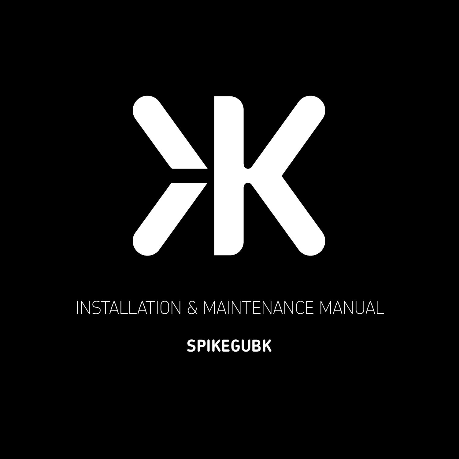

# INSTALLATION & MAINTENANCE MANUAL

## **SPIKEGUBK**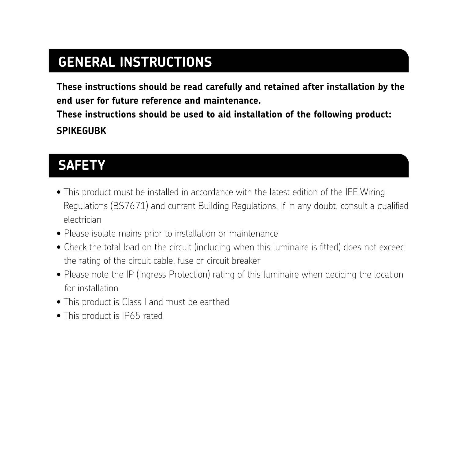## **GENERAL INSTRUCTIONS**

**These instructions should be read carefully and retained after installation by the end user for future reference and maintenance.**

**These instructions should be used to aid installation of the following product: SPIKEGUBK**

#### **SAFETY**

- This product must be installed in accordance with the latest edition of the IEE Wiring Regulations (BS7671) and current Building Regulations. If in any doubt, consult a qualified electrician
- Please isolate mains prior to installation or maintenance
- Check the total load on the circuit (including when this luminaire is fitted) does not exceed the rating of the circuit cable, fuse or circuit breaker
- Please note the IP (Ingress Protection) rating of this luminaire when deciding the location for installation
- This product is Class I and must be earthed
- This product is IP65 rated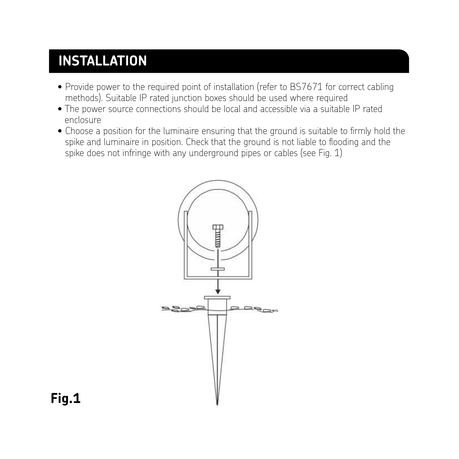#### **INSTALLATION** cabling methods). Suitable IP rated junction boxes should be used where required

- $\bullet$  Provide power to the required point of installation (refer to BS7671 for correct cabling  $\bullet$ methods). Suitable IP rated junction boxes should be used where required
- rections). Suitable in Tated Junction boxes should be used where required<br>• The power source connections should be local and accessible via a suitable IP rated enclosure lumination. Check that the ground is not liable to flooding and the spike does not infringe with the spike does not infringe with the spike does not infringe with the spike does not infringe with the spike does not infring
	- Choose a position for the luminaire ensuring that the ground is suitable to firmly hold the spike and luminaire in position. Check that the ground is not liable to flooding and the spike does not infringe with any underground pipes or cables (see Fig. 1)



**Fig.1**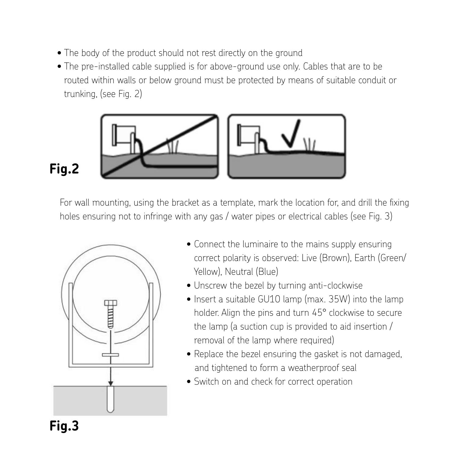- The body of the product should not rest directly on the ground
- The pre-installed cable supplied is for above-ground use only. Cables that are to be routed within walls or below ground must be protected by means of suitable conduit or trunking, (see Fig. 2)



#### **Fig.2**

For wall mounting, using the bracket as a template, mark the location for, and drill the fixing holes ensuring not to infringe with any gas / water pipes or electrical cables (see Fig. 3) ensuring not to infringe with any gas / water pipes or electrical cables (see Fig. 3)



- Connect the luminaire to the mains supply ensuring correct polarity is observed: Live (Brown), Earth (Green/ Yellow), Neutral (Blue)
- Unscrew the bezel by turning anti-clockwise
- Insert a suitable GU10 lamp (max. 35W) into the lamp holder. Align the pins and turn 45° clockwise to secure the lamp (a suction cup is provided to aid insertion / removal of the lamp where required)
- Replace the bezel ensuring the gasket is not damaged. and tightened to form a weatherproof seal
- Switch on and check for correct operation

#### **Fig.3**  $\mathbf{g}.\mathbf{s}$  is observed: Live (Brown), that correct polarity is observed: Live (Brown),  $\mathbf{g}.\mathbf{s}$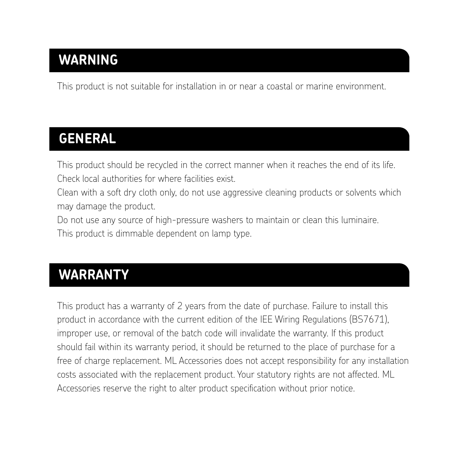#### **WARNING**

This product is not suitable for installation in or near a coastal or marine environment.

### **GENERAL**

This product should be recycled in the correct manner when it reaches the end of its life. Check local authorities for where facilities exist.

Clean with a soft dry cloth only, do not use aggressive cleaning products or solvents which may damage the product.

Do not use any source of high-pressure washers to maintain or clean this luminaire. This product is dimmable dependent on lamp type.

#### **WARRANTY**

This product has a warranty of 2 years from the date of purchase. Failure to install this product in accordance with the current edition of the IEE Wiring Regulations (BS7671), improper use, or removal of the batch code will invalidate the warranty. If this product should fail within its warranty period, it should be returned to the place of purchase for a free of charge replacement. ML Accessories does not accept responsibility for any installation costs associated with the replacement product. Your statutory rights are not affected. ML Accessories reserve the right to alter product specification without prior notice.